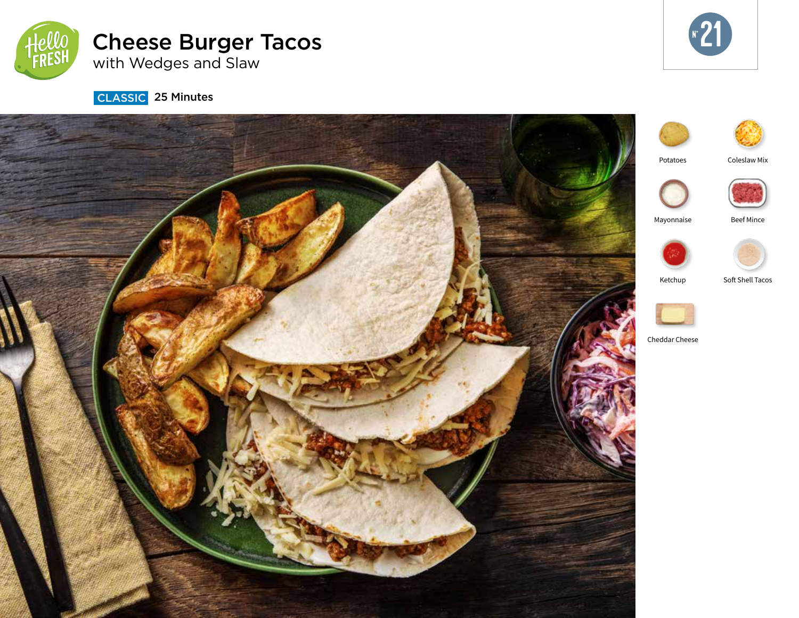

# Cheese Burger Tacos with Wedges and Slaw



**CLASSIC** 25 Minutes